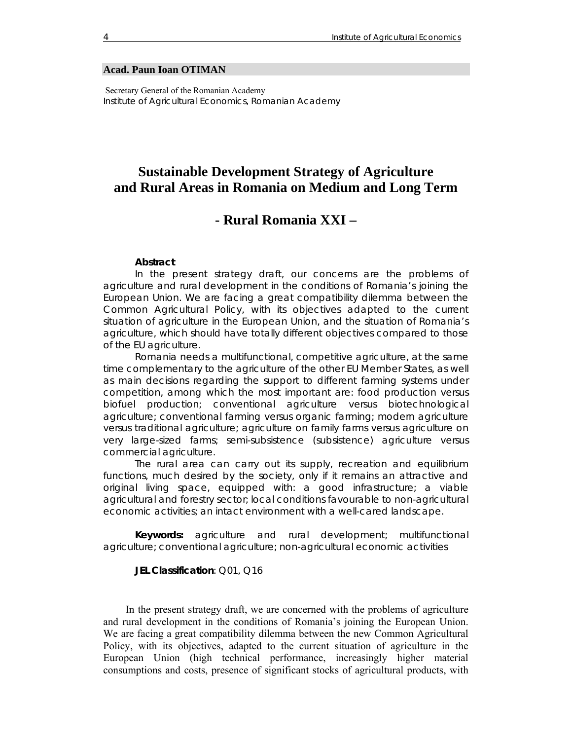#### **Acad. Paun Ioan OTIMAN**

 Secretary General of the Romanian Academy *Institute of Agricultural Economics, Romanian Academy* 

# **Sustainable Development Strategy of Agriculture and Rural Areas in Romania on Medium and Long Term**

## **- Rural Romania XXI –**

#### *Abstract*

*In the present strategy draft, our concerns are the problems of agriculture and rural development in the conditions of Romania's joining the European Union. We are facing a great compatibility dilemma between the Common Agricultural Policy, with its objectives adapted to the current situation of agriculture in the European Union, and the situation of Romania's agriculture, which should have totally different objectives compared to those of the EU agriculture.* 

*Romania needs a multifunctional, competitive agriculture, at the same time complementary to the agriculture of the other EU Member States, as well*  as main decisions regarding the support to different farming systems under *competition, among which the most important are: food production versus biofuel production; conventional agriculture versus biotechnological agriculture; conventional farming versus organic farming; modern agriculture versus traditional agriculture; agriculture on family farms versus agriculture on very large-sized farms; semi-subsistence (subsistence) agriculture versus commercial agriculture.* 

*The rural area can carry out its supply, recreation and equilibrium*  functions, much desired by the society, only if it remains an attractive and *original living space, equipped with: a good infrastructure; a viable agricultural and forestry sector; local conditions favourable to non-agricultural economic activities; an intact environment with a well-cared landscape.* 

*Keywords: agriculture and rural development; multifunctional agriculture; conventional agriculture; non-agricultural economic activities*

*JEL Classification: Q01, Q16* 

In the present strategy draft, we are concerned with the problems of agriculture and rural development in the conditions of Romania's joining the European Union. We are facing a great compatibility dilemma between the new Common Agricultural Policy, with its objectives, adapted to the current situation of agriculture in the European Union (high technical performance, increasingly higher material consumptions and costs, presence of significant stocks of agricultural products, with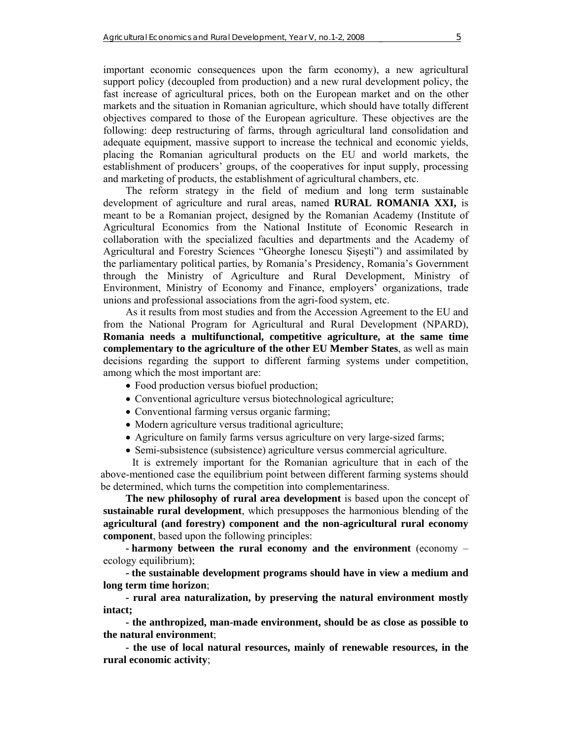important economic consequences upon the farm economy), a new agricultural support policy (decoupled from production) and a new rural development policy, the fast increase of agricultural prices, both on the European market and on the other markets and the situation in Romanian agriculture, which should have totally different objectives compared to those of the European agriculture. These objectives are the following: deep restructuring of farms, through agricultural land consolidation and adequate equipment, massive support to increase the technical and economic yields, placing the Romanian agricultural products on the EU and world markets, the establishment of producers' groups, of the cooperatives for input supply, processing and marketing of products, the establishment of agricultural chambers, etc.

The reform strategy in the field of medium and long term sustainable development of agriculture and rural areas, named **RURAL ROMANIA XXI,** is meant to be a Romanian project, designed by the Romanian Academy (Institute of Agricultural Economics from the National Institute of Economic Research in collaboration with the specialized faculties and departments and the Academy of Agricultural and Forestry Sciences "Gheorghe Ionescu Şişeşti") and assimilated by the parliamentary political parties, by Romania's Presidency, Romania's Government through the Ministry of Agriculture and Rural Development, Ministry of Environment, Ministry of Economy and Finance, employers' organizations, trade unions and professional associations from the agri-food system, etc.

As it results from most studies and from the Accession Agreement to the EU and from the National Program for Agricultural and Rural Development (NPARD), **Romania needs a multifunctional, competitive agriculture, at the same time complementary to the agriculture of the other EU Member States**, as well as main decisions regarding the support to different farming systems under competition, among which the most important are:

- Food production versus biofuel production;
- Conventional agriculture versus biotechnological agriculture;
- Conventional farming versus organic farming;
- Modern agriculture versus traditional agriculture;
- Agriculture on family farms versus agriculture on very large-sized farms;
- Semi-subsistence (subsistence) agriculture versus commercial agriculture.

It is extremely important for the Romanian agriculture that in each of the above-mentioned case the equilibrium point between different farming systems should be determined, which turns the competition into complementariness.

**The new philosophy of rural area development** is based upon the concept of **sustainable rural development**, which presupposes the harmonious blending of the **agricultural (and forestry) component and the non-agricultural rural economy component**, based upon the following principles:

**- harmony between the rural economy and the environment** (economy – ecology equilibrium);

**- the sustainable development programs should have in view a medium and long term time horizon**;

**- rural area naturalization, by preserving the natural environment mostly intact;** 

**- the anthropized, man-made environment, should be as close as possible to the natural environment**;

**- the use of local natural resources, mainly of renewable resources, in the rural economic activity**;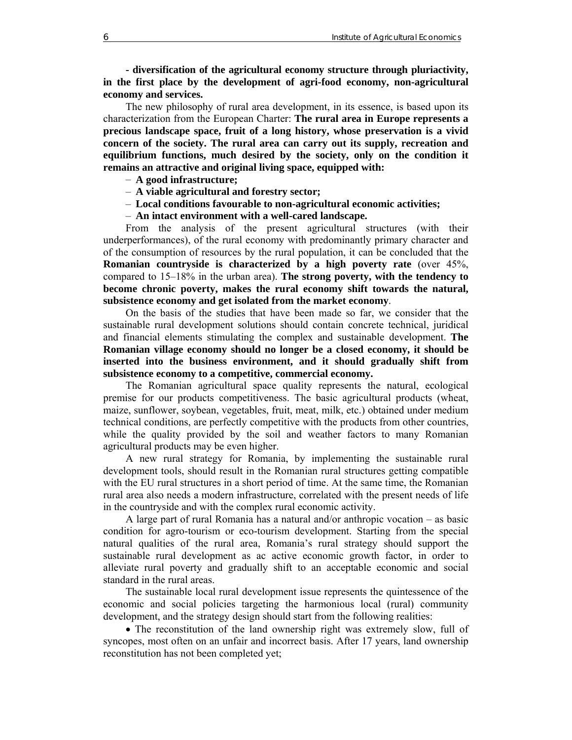**- diversification of the agricultural economy structure through pluriactivity, in the first place by the development of agri-food economy, non-agricultural economy and services.**

The new philosophy of rural area development, in its essence, is based upon its characterization from the European Charter: **The rural area in Europe represents a precious landscape space, fruit of a long history, whose preservation is a vivid concern of the society. The rural area can carry out its supply, recreation and equilibrium functions, much desired by the society, only on the condition it remains an attractive and original living space, equipped with:** 

- **A good infrastructure;**
- **A viable agricultural and forestry sector;**
- **Local conditions favourable to non-agricultural economic activities;**
- **An intact environment with a well-cared landscape.**

From the analysis of the present agricultural structures (with their underperformances), of the rural economy with predominantly primary character and of the consumption of resources by the rural population, it can be concluded that the **Romanian countryside is characterized by a high poverty rate** (over 45%, compared to 15–18% in the urban area). **The strong poverty, with the tendency to become chronic poverty, makes the rural economy shift towards the natural, subsistence economy and get isolated from the market economy**.

On the basis of the studies that have been made so far, we consider that the sustainable rural development solutions should contain concrete technical, juridical and financial elements stimulating the complex and sustainable development. **The Romanian village economy should no longer be a closed economy, it should be inserted into the business environment, and it should gradually shift from subsistence economy to a competitive, commercial economy.**

The Romanian agricultural space quality represents the natural, ecological premise for our products competitiveness. The basic agricultural products (wheat, maize, sunflower, soybean, vegetables, fruit, meat, milk, etc.) obtained under medium technical conditions, are perfectly competitive with the products from other countries, while the quality provided by the soil and weather factors to many Romanian agricultural products may be even higher.

A new rural strategy for Romania, by implementing the sustainable rural development tools, should result in the Romanian rural structures getting compatible with the EU rural structures in a short period of time. At the same time, the Romanian rural area also needs a modern infrastructure, correlated with the present needs of life in the countryside and with the complex rural economic activity.

A large part of rural Romania has a natural and/or anthropic vocation – as basic condition for agro-tourism or eco-tourism development. Starting from the special natural qualities of the rural area, Romania's rural strategy should support the sustainable rural development as ac active economic growth factor, in order to alleviate rural poverty and gradually shift to an acceptable economic and social standard in the rural areas.

The sustainable local rural development issue represents the quintessence of the economic and social policies targeting the harmonious local (rural) community development, and the strategy design should start from the following realities:

• The reconstitution of the land ownership right was extremely slow, full of syncopes, most often on an unfair and incorrect basis. After 17 years, land ownership reconstitution has not been completed yet;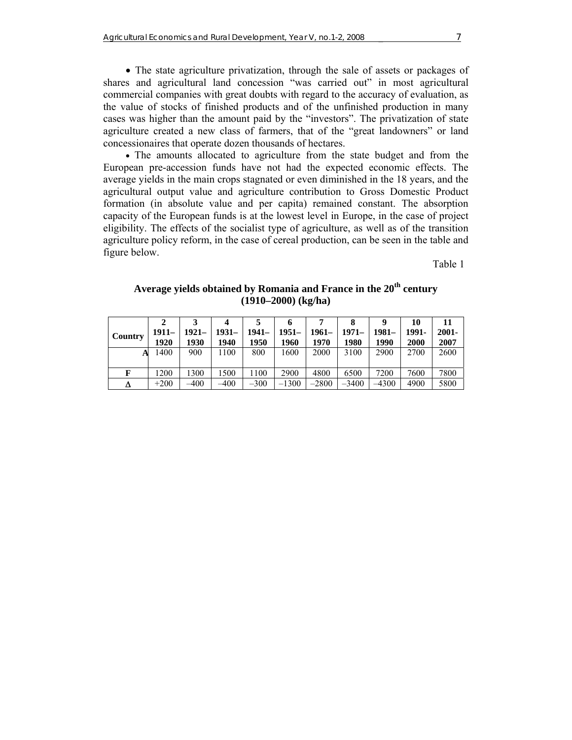• The state agriculture privatization, through the sale of assets or packages of shares and agricultural land concession "was carried out" in most agricultural commercial companies with great doubts with regard to the accuracy of evaluation, as the value of stocks of finished products and of the unfinished production in many cases was higher than the amount paid by the "investors". The privatization of state agriculture created a new class of farmers, that of the "great landowners" or land concessionaires that operate dozen thousands of hectares.

• The amounts allocated to agriculture from the state budget and from the European pre-accession funds have not had the expected economic effects. The average yields in the main crops stagnated or even diminished in the 18 years, and the agricultural output value and agriculture contribution to Gross Domestic Product formation (in absolute value and per capita) remained constant. The absorption capacity of the European funds is at the lowest level in Europe, in the case of project eligibility. The effects of the socialist type of agriculture, as well as of the transition agriculture policy reform, in the case of cereal production, can be seen in the table and figure below.

Table 1

| Average yields obtained by Romania and France in the 20 <sup>th</sup> century |
|-------------------------------------------------------------------------------|
| $(1910-2000)$ (kg/ha)                                                         |

|         |         |          |         |         |         |         |         |          | 10          | 11       |
|---------|---------|----------|---------|---------|---------|---------|---------|----------|-------------|----------|
| Country | $1911-$ | $1921 -$ | $1931-$ | $1941-$ | $1951-$ | $1961-$ | $1971-$ | $1981 -$ | 1991-       | $2001 -$ |
|         | 1920    | 1930     | 1940    | 1950    | 1960    | 1970    | 1980    | 1990     | <b>2000</b> | 2007     |
| A       | 1400    | 900      | 1100    | 800     | 1600    | 2000    | 3100    | 2900     | 2700        | 2600     |
|         |         |          |         |         |         |         |         |          |             |          |
| F       | 1200    | 1300     | 1500    | 100     | 2900    | 4800    | 6500    | 7200     | 7600        | 7800     |
| Δ       | $+200$  | $-400$   | $-400$  | $-300$  | $-1300$ | $-2800$ | $-3400$ | –4300    | 4900        | 5800     |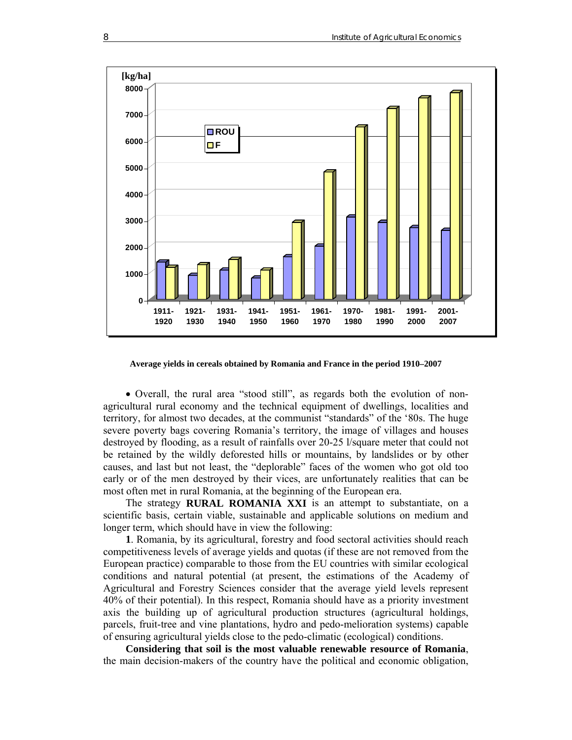

**Average yields in cereals obtained by Romania and France in the period 1910–2007** 

• Overall, the rural area "stood still", as regards both the evolution of nonagricultural rural economy and the technical equipment of dwellings, localities and territory, for almost two decades, at the communist "standards" of the '80s. The huge severe poverty bags covering Romania's territory, the image of villages and houses destroyed by flooding, as a result of rainfalls over 20-25 l/square meter that could not be retained by the wildly deforested hills or mountains, by landslides or by other causes, and last but not least, the "deplorable" faces of the women who got old too early or of the men destroyed by their vices, are unfortunately realities that can be most often met in rural Romania, at the beginning of the European era.

The strategy **RURAL ROMANIA XXI** is an attempt to substantiate, on a scientific basis, certain viable, sustainable and applicable solutions on medium and longer term, which should have in view the following:

**1**. Romania, by its agricultural, forestry and food sectoral activities should reach competitiveness levels of average yields and quotas (if these are not removed from the European practice) comparable to those from the EU countries with similar ecological conditions and natural potential (at present, the estimations of the Academy of Agricultural and Forestry Sciences consider that the average yield levels represent 40% of their potential). In this respect, Romania should have as a priority investment axis the building up of agricultural production structures (agricultural holdings, parcels, fruit-tree and vine plantations, hydro and pedo-melioration systems) capable of ensuring agricultural yields close to the pedo-climatic (ecological) conditions.

**Considering that soil is the most valuable renewable resource of Romania**, the main decision-makers of the country have the political and economic obligation,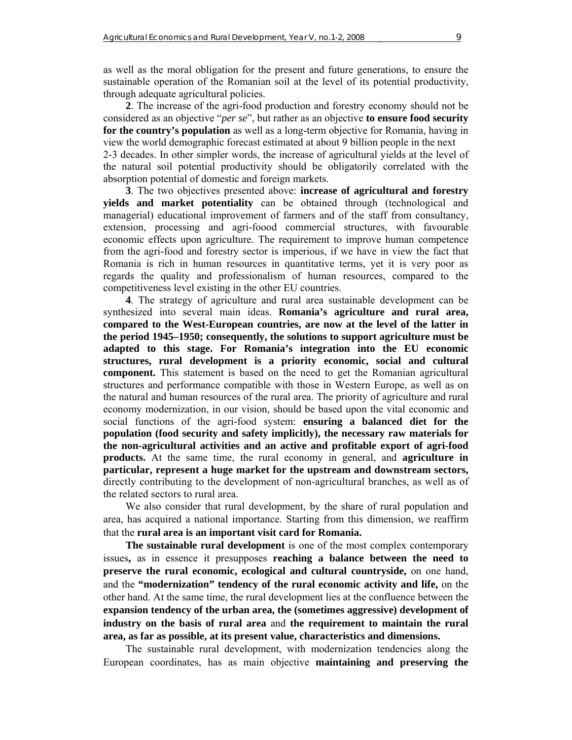as well as the moral obligation for the present and future generations, to ensure the sustainable operation of the Romanian soil at the level of its potential productivity, through adequate agricultural policies.

**2**. The increase of the agri-food production and forestry economy should not be considered as an objective "*per se*", but rather as an objective **to ensure food security for the country's population** as well as a long-term objective for Romania, having in view the world demographic forecast estimated at about 9 billion people in the next 2-3 decades. In other simpler words, the increase of agricultural yields at the level of the natural soil potential productivity should be obligatorily correlated with the absorption potential of domestic and foreign markets.

**3**. The two objectives presented above: **increase of agricultural and forestry yields and market potentiality** can be obtained through (technological and managerial) educational improvement of farmers and of the staff from consultancy, extension, processing and agri-foood commercial structures, with favourable economic effects upon agriculture. The requirement to improve human competence from the agri-food and forestry sector is imperious, if we have in view the fact that Romania is rich in human resources in quantitative terms, yet it is very poor as regards the quality and professionalism of human resources, compared to the competitiveness level existing in the other EU countries.

**4**. The strategy of agriculture and rural area sustainable development can be synthesized into several main ideas. **Romania's agriculture and rural area, compared to the West-European countries, are now at the level of the latter in the period 1945–1950; consequently, the solutions to support agriculture must be adapted to this stage. For Romania's integration into the EU economic structures, rural development is a priority economic, social and cultural component.** This statement is based on the need to get the Romanian agricultural structures and performance compatible with those in Western Europe, as well as on the natural and human resources of the rural area. The priority of agriculture and rural economy modernization, in our vision, should be based upon the vital economic and social functions of the agri-food system: **ensuring a balanced diet for the population (food security and safety implicitly), the necessary raw materials for the non-agricultural activities and an active and profitable export of agri-food products.** At the same time, the rural economy in general, and **agriculture in particular, represent a huge market for the upstream and downstream sectors,**  directly contributing to the development of non-agricultural branches, as well as of the related sectors to rural area.

We also consider that rural development, by the share of rural population and area, has acquired a national importance. Starting from this dimension, we reaffirm that the **rural area is an important visit card for Romania.**

**The sustainable rural development** is one of the most complex contemporary issues**,** as in essence it presupposes **reaching a balance between the need to preserve the rural economic, ecological and cultural countryside,** on one hand, and the **"modernization" tendency of the rural economic activity and life,** on the other hand. At the same time, the rural development lies at the confluence between the **expansion tendency of the urban area, the (sometimes aggressive) development of industry on the basis of rural area** and **the requirement to maintain the rural area, as far as possible, at its present value, characteristics and dimensions.**

The sustainable rural development, with modernization tendencies along the European coordinates, has as main objective **maintaining and preserving the**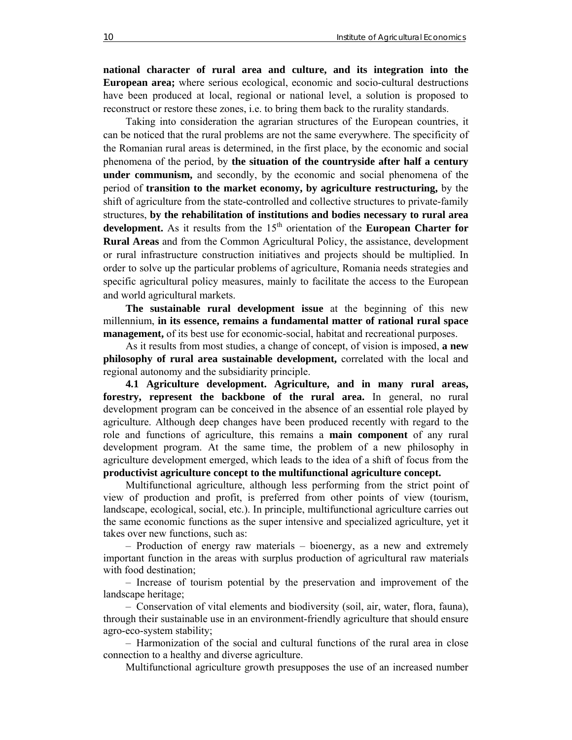**national character of rural area and culture, and its integration into the European area;** where serious ecological, economic and socio-cultural destructions have been produced at local, regional or national level, a solution is proposed to reconstruct or restore these zones, i.e. to bring them back to the rurality standards.

Taking into consideration the agrarian structures of the European countries, it can be noticed that the rural problems are not the same everywhere. The specificity of the Romanian rural areas is determined, in the first place, by the economic and social phenomena of the period, by **the situation of the countryside after half a century under communism,** and secondly, by the economic and social phenomena of the period of **transition to the market economy, by agriculture restructuring,** by the shift of agriculture from the state-controlled and collective structures to private-family structures, **by the rehabilitation of institutions and bodies necessary to rural area**  development. As it results from the 15<sup>th</sup> orientation of the **European Charter for Rural Areas** and from the Common Agricultural Policy, the assistance, development or rural infrastructure construction initiatives and projects should be multiplied. In order to solve up the particular problems of agriculture, Romania needs strategies and specific agricultural policy measures, mainly to facilitate the access to the European and world agricultural markets.

**The sustainable rural development issue** at the beginning of this new millennium, **in its essence, remains a fundamental matter of rational rural space management,** of its best use for economic-social, habitat and recreational purposes.

As it results from most studies, a change of concept, of vision is imposed, **a new philosophy of rural area sustainable development,** correlated with the local and regional autonomy and the subsidiarity principle.

**4.1 Agriculture development. Agriculture, and in many rural areas, forestry, represent the backbone of the rural area.** In general, no rural development program can be conceived in the absence of an essential role played by agriculture. Although deep changes have been produced recently with regard to the role and functions of agriculture, this remains a **main component** of any rural development program. At the same time, the problem of a new philosophy in agriculture development emerged, which leads to the idea of a shift of focus from the **productivist agriculture concept to the multifunctional agriculture concept.**

Multifunctional agriculture, although less performing from the strict point of view of production and profit, is preferred from other points of view (tourism, landscape, ecological, social, etc.). In principle, multifunctional agriculture carries out the same economic functions as the super intensive and specialized agriculture, yet it takes over new functions, such as:

– Production of energy raw materials – bioenergy, as a new and extremely important function in the areas with surplus production of agricultural raw materials with food destination;

– Increase of tourism potential by the preservation and improvement of the landscape heritage;

– Conservation of vital elements and biodiversity (soil, air, water, flora, fauna), through their sustainable use in an environment-friendly agriculture that should ensure agro-eco-system stability;

– Harmonization of the social and cultural functions of the rural area in close connection to a healthy and diverse agriculture.

Multifunctional agriculture growth presupposes the use of an increased number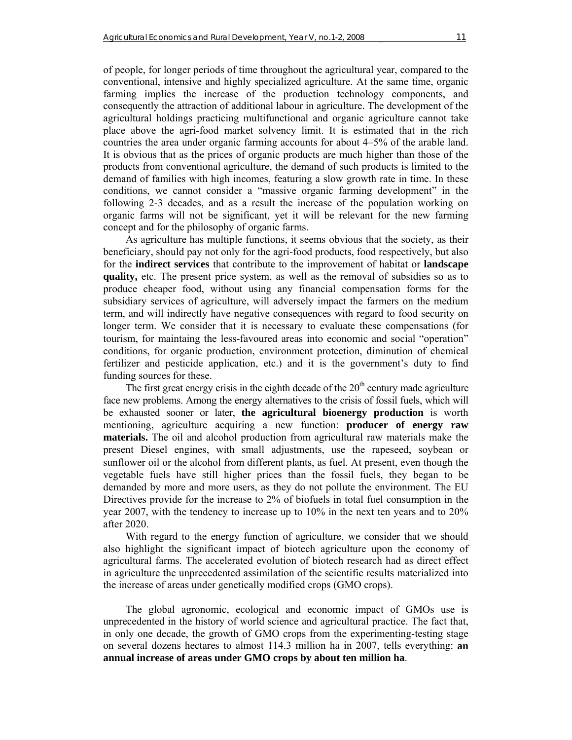of people, for longer periods of time throughout the agricultural year, compared to the conventional, intensive and highly specialized agriculture. At the same time, organic farming implies the increase of the production technology components, and consequently the attraction of additional labour in agriculture. The development of the agricultural holdings practicing multifunctional and organic agriculture cannot take place above the agri-food market solvency limit. It is estimated that in the rich countries the area under organic farming accounts for about 4–5% of the arable land. It is obvious that as the prices of organic products are much higher than those of the products from conventional agriculture, the demand of such products is limited to the demand of families with high incomes, featuring a slow growth rate in time. In these conditions, we cannot consider a "massive organic farming development" in the following 2-3 decades, and as a result the increase of the population working on organic farms will not be significant, yet it will be relevant for the new farming concept and for the philosophy of organic farms.

As agriculture has multiple functions, it seems obvious that the society, as their beneficiary, should pay not only for the agri-food products, food respectively, but also for the **indirect services** that contribute to the improvement of habitat or **landscape quality,** etc. The present price system, as well as the removal of subsidies so as to produce cheaper food, without using any financial compensation forms for the subsidiary services of agriculture, will adversely impact the farmers on the medium term, and will indirectly have negative consequences with regard to food security on longer term. We consider that it is necessary to evaluate these compensations (for tourism, for maintaing the less-favoured areas into economic and social "operation" conditions, for organic production, environment protection, diminution of chemical fertilizer and pesticide application, etc.) and it is the government's duty to find funding sources for these.

The first great energy crisis in the eighth decade of the  $20<sup>th</sup>$  century made agriculture face new problems. Among the energy alternatives to the crisis of fossil fuels, which will be exhausted sooner or later, **the agricultural bioenergy production** is worth mentioning, agriculture acquiring a new function: **producer of energy raw materials.** The oil and alcohol production from agricultural raw materials make the present Diesel engines, with small adjustments, use the rapeseed, soybean or sunflower oil or the alcohol from different plants, as fuel. At present, even though the vegetable fuels have still higher prices than the fossil fuels, they began to be demanded by more and more users, as they do not pollute the environment. The EU Directives provide for the increase to 2% of biofuels in total fuel consumption in the year 2007, with the tendency to increase up to 10% in the next ten years and to 20% after 2020.

With regard to the energy function of agriculture, we consider that we should also highlight the significant impact of biotech agriculture upon the economy of agricultural farms. The accelerated evolution of biotech research had as direct effect in agriculture the unprecedented assimilation of the scientific results materialized into the increase of areas under genetically modified crops (GMO crops).

The global agronomic, ecological and economic impact of GMOs use is unprecedented in the history of world science and agricultural practice. The fact that, in only one decade, the growth of GMO crops from the experimenting-testing stage on several dozens hectares to almost 114.3 million ha in 2007, tells everything: **an annual increase of areas under GMO crops by about ten million ha**.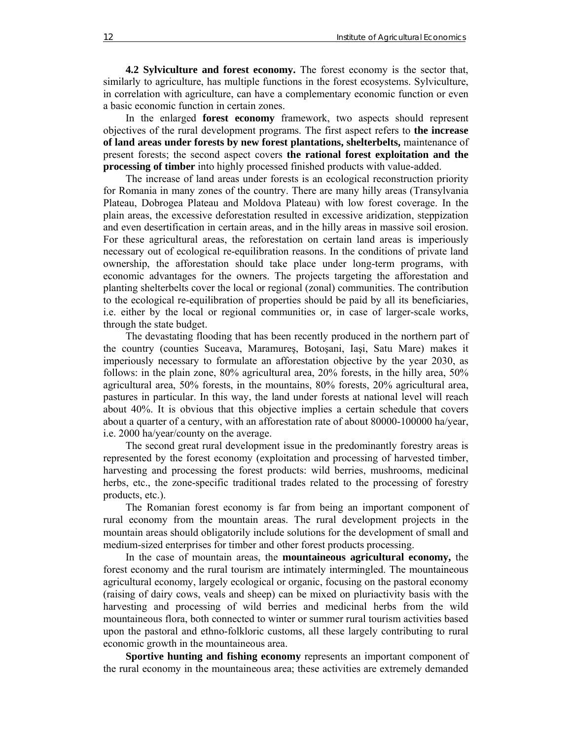**4.2 Sylviculture and forest economy.** The forest economy is the sector that, similarly to agriculture, has multiple functions in the forest ecosystems. Sylviculture, in correlation with agriculture, can have a complementary economic function or even a basic economic function in certain zones.

In the enlarged **forest economy** framework, two aspects should represent objectives of the rural development programs. The first aspect refers to **the increase of land areas under forests by new forest plantations, shelterbelts,** maintenance of present forests; the second aspect covers **the rational forest exploitation and the processing of timber** into highly processed finished products with value-added.

The increase of land areas under forests is an ecological reconstruction priority for Romania in many zones of the country. There are many hilly areas (Transylvania Plateau, Dobrogea Plateau and Moldova Plateau) with low forest coverage. In the plain areas, the excessive deforestation resulted in excessive aridization, steppization and even desertification in certain areas, and in the hilly areas in massive soil erosion. For these agricultural areas, the reforestation on certain land areas is imperiously necessary out of ecological re-equilibration reasons. In the conditions of private land ownership, the afforestation should take place under long-term programs, with economic advantages for the owners. The projects targeting the afforestation and planting shelterbelts cover the local or regional (zonal) communities. The contribution to the ecological re-equilibration of properties should be paid by all its beneficiaries, i.e. either by the local or regional communities or, in case of larger-scale works, through the state budget.

The devastating flooding that has been recently produced in the northern part of the country (counties Suceava, Maramureş, Botoşani, Iaşi, Satu Mare) makes it imperiously necessary to formulate an afforestation objective by the year 2030, as follows: in the plain zone, 80% agricultural area, 20% forests, in the hilly area, 50% agricultural area, 50% forests, in the mountains, 80% forests, 20% agricultural area, pastures in particular. In this way, the land under forests at national level will reach about 40%. It is obvious that this objective implies a certain schedule that covers about a quarter of a century, with an afforestation rate of about 80000-100000 ha/year, i.e. 2000 ha/year/county on the average.

The second great rural development issue in the predominantly forestry areas is represented by the forest economy (exploitation and processing of harvested timber, harvesting and processing the forest products: wild berries, mushrooms, medicinal herbs, etc., the zone-specific traditional trades related to the processing of forestry products, etc.).

The Romanian forest economy is far from being an important component of rural economy from the mountain areas. The rural development projects in the mountain areas should obligatorily include solutions for the development of small and medium-sized enterprises for timber and other forest products processing.

In the case of mountain areas, the **mountaineous agricultural economy,** the forest economy and the rural tourism are intimately intermingled. The mountaineous agricultural economy, largely ecological or organic, focusing on the pastoral economy (raising of dairy cows, veals and sheep) can be mixed on pluriactivity basis with the harvesting and processing of wild berries and medicinal herbs from the wild mountaineous flora, both connected to winter or summer rural tourism activities based upon the pastoral and ethno-folkloric customs, all these largely contributing to rural economic growth in the mountaineous area.

**Sportive hunting and fishing economy** represents an important component of the rural economy in the mountaineous area; these activities are extremely demanded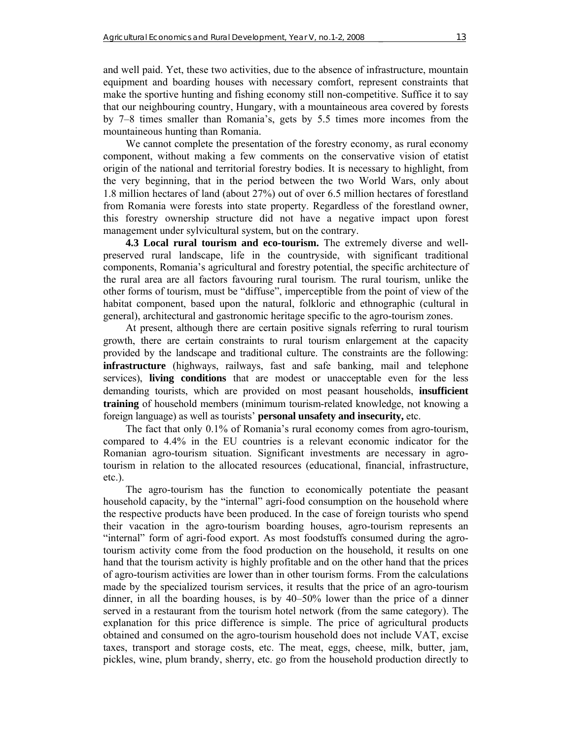and well paid. Yet, these two activities, due to the absence of infrastructure, mountain equipment and boarding houses with necessary comfort, represent constraints that make the sportive hunting and fishing economy still non-competitive. Suffice it to say that our neighbouring country, Hungary, with a mountaineous area covered by forests by 7–8 times smaller than Romania's, gets by 5.5 times more incomes from the mountaineous hunting than Romania.

We cannot complete the presentation of the forestry economy, as rural economy component, without making a few comments on the conservative vision of etatist origin of the national and territorial forestry bodies. It is necessary to highlight, from the very beginning, that in the period between the two World Wars, only about 1.8 million hectares of land (about 27%) out of over 6.5 million hectares of forestland from Romania were forests into state property. Regardless of the forestland owner, this forestry ownership structure did not have a negative impact upon forest management under sylvicultural system, but on the contrary.

**4.3 Local rural tourism and eco-tourism.** The extremely diverse and wellpreserved rural landscape, life in the countryside, with significant traditional components, Romania's agricultural and forestry potential, the specific architecture of the rural area are all factors favouring rural tourism. The rural tourism, unlike the other forms of tourism, must be "diffuse", imperceptible from the point of view of the habitat component, based upon the natural, folkloric and ethnographic (cultural in general), architectural and gastronomic heritage specific to the agro-tourism zones.

At present, although there are certain positive signals referring to rural tourism growth, there are certain constraints to rural tourism enlargement at the capacity provided by the landscape and traditional culture. The constraints are the following: **infrastructure** (highways, railways, fast and safe banking, mail and telephone services), **living conditions** that are modest or unacceptable even for the less demanding tourists, which are provided on most peasant households, **insufficient training** of household members (minimum tourism-related knowledge, not knowing a foreign language) as well as tourists' **personal unsafety and insecurity,** etc.

The fact that only 0.1% of Romania's rural economy comes from agro-tourism, compared to 4.4% in the EU countries is a relevant economic indicator for the Romanian agro-tourism situation. Significant investments are necessary in agrotourism in relation to the allocated resources (educational, financial, infrastructure, etc.).

The agro-tourism has the function to economically potentiate the peasant household capacity, by the "internal" agri-food consumption on the household where the respective products have been produced. In the case of foreign tourists who spend their vacation in the agro-tourism boarding houses, agro-tourism represents an "internal" form of agri-food export. As most foodstuffs consumed during the agrotourism activity come from the food production on the household, it results on one hand that the tourism activity is highly profitable and on the other hand that the prices of agro-tourism activities are lower than in other tourism forms. From the calculations made by the specialized tourism services, it results that the price of an agro-tourism dinner, in all the boarding houses, is by 40–50% lower than the price of a dinner served in a restaurant from the tourism hotel network (from the same category). The explanation for this price difference is simple. The price of agricultural products obtained and consumed on the agro-tourism household does not include VAT, excise taxes, transport and storage costs, etc. The meat, eggs, cheese, milk, butter, jam, pickles, wine, plum brandy, sherry, etc. go from the household production directly to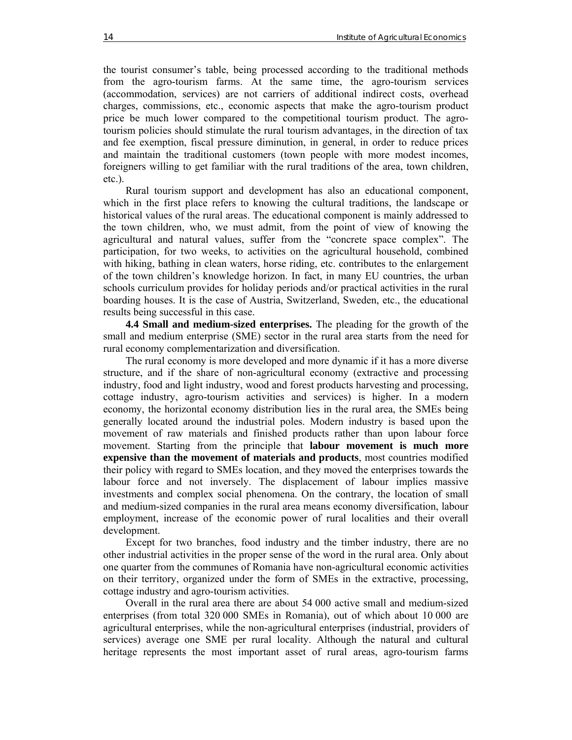the tourist consumer's table, being processed according to the traditional methods from the agro-tourism farms. At the same time, the agro-tourism services (accommodation, services) are not carriers of additional indirect costs, overhead charges, commissions, etc., economic aspects that make the agro-tourism product price be much lower compared to the competitional tourism product. The agrotourism policies should stimulate the rural tourism advantages, in the direction of tax and fee exemption, fiscal pressure diminution, in general, in order to reduce prices and maintain the traditional customers (town people with more modest incomes, foreigners willing to get familiar with the rural traditions of the area, town children, etc.).

Rural tourism support and development has also an educational component, which in the first place refers to knowing the cultural traditions, the landscape or historical values of the rural areas. The educational component is mainly addressed to the town children, who, we must admit, from the point of view of knowing the agricultural and natural values, suffer from the "concrete space complex". The participation, for two weeks, to activities on the agricultural household, combined with hiking, bathing in clean waters, horse riding, etc. contributes to the enlargement of the town children's knowledge horizon. In fact, in many EU countries, the urban schools curriculum provides for holiday periods and/or practical activities in the rural boarding houses. It is the case of Austria, Switzerland, Sweden, etc., the educational results being successful in this case.

**4.4 Small and medium-sized enterprises.** The pleading for the growth of the small and medium enterprise (SME) sector in the rural area starts from the need for rural economy complementarization and diversification.

The rural economy is more developed and more dynamic if it has a more diverse structure, and if the share of non-agricultural economy (extractive and processing industry, food and light industry, wood and forest products harvesting and processing, cottage industry, agro-tourism activities and services) is higher. In a modern economy, the horizontal economy distribution lies in the rural area, the SMEs being generally located around the industrial poles. Modern industry is based upon the movement of raw materials and finished products rather than upon labour force movement. Starting from the principle that **labour movement is much more expensive than the movement of materials and products**, most countries modified their policy with regard to SMEs location, and they moved the enterprises towards the labour force and not inversely. The displacement of labour implies massive investments and complex social phenomena. On the contrary, the location of small and medium-sized companies in the rural area means economy diversification, labour employment, increase of the economic power of rural localities and their overall development.

Except for two branches, food industry and the timber industry, there are no other industrial activities in the proper sense of the word in the rural area. Only about one quarter from the communes of Romania have non-agricultural economic activities on their territory, organized under the form of SMEs in the extractive, processing, cottage industry and agro-tourism activities.

Overall in the rural area there are about 54 000 active small and medium-sized enterprises (from total 320 000 SMEs in Romania), out of which about 10 000 are agricultural enterprises, while the non-agricultural enterprises (industrial, providers of services) average one SME per rural locality. Although the natural and cultural heritage represents the most important asset of rural areas, agro-tourism farms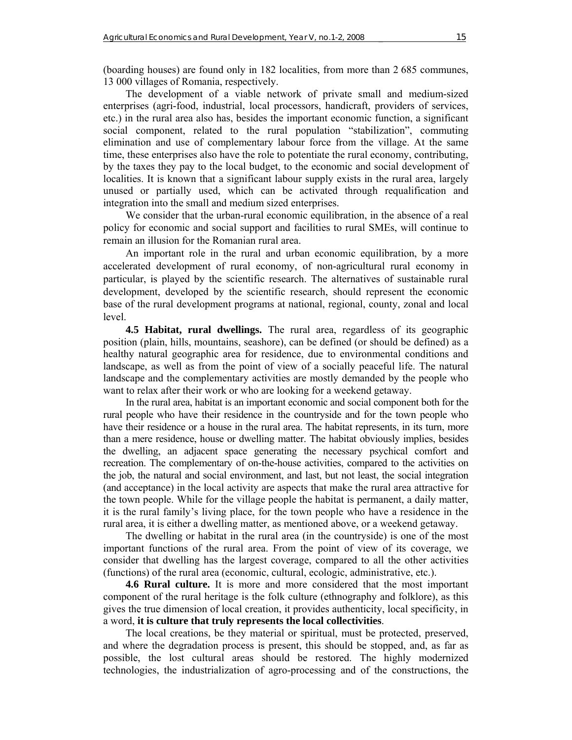(boarding houses) are found only in 182 localities, from more than 2 685 communes, 13 000 villages of Romania, respectively.

The development of a viable network of private small and medium-sized enterprises (agri-food, industrial, local processors, handicraft, providers of services, etc.) in the rural area also has, besides the important economic function, a significant social component, related to the rural population "stabilization", commuting elimination and use of complementary labour force from the village. At the same time, these enterprises also have the role to potentiate the rural economy, contributing, by the taxes they pay to the local budget, to the economic and social development of localities. It is known that a significant labour supply exists in the rural area, largely unused or partially used, which can be activated through requalification and integration into the small and medium sized enterprises.

We consider that the urban-rural economic equilibration, in the absence of a real policy for economic and social support and facilities to rural SMEs, will continue to remain an illusion for the Romanian rural area.

An important role in the rural and urban economic equilibration, by a more accelerated development of rural economy, of non-agricultural rural economy in particular, is played by the scientific research. The alternatives of sustainable rural development, developed by the scientific research, should represent the economic base of the rural development programs at national, regional, county, zonal and local level.

**4.5 Habitat, rural dwellings.** The rural area, regardless of its geographic position (plain, hills, mountains, seashore), can be defined (or should be defined) as a healthy natural geographic area for residence, due to environmental conditions and landscape, as well as from the point of view of a socially peaceful life. The natural landscape and the complementary activities are mostly demanded by the people who want to relax after their work or who are looking for a weekend getaway.

In the rural area, habitat is an important economic and social component both for the rural people who have their residence in the countryside and for the town people who have their residence or a house in the rural area. The habitat represents, in its turn, more than a mere residence, house or dwelling matter. The habitat obviously implies, besides the dwelling, an adjacent space generating the necessary psychical comfort and recreation. The complementary of on-the-house activities, compared to the activities on the job, the natural and social environment, and last, but not least, the social integration (and acceptance) in the local activity are aspects that make the rural area attractive for the town people. While for the village people the habitat is permanent, a daily matter, it is the rural family's living place, for the town people who have a residence in the rural area, it is either a dwelling matter, as mentioned above, or a weekend getaway.

The dwelling or habitat in the rural area (in the countryside) is one of the most important functions of the rural area. From the point of view of its coverage, we consider that dwelling has the largest coverage, compared to all the other activities (functions) of the rural area (economic, cultural, ecologic, administrative, etc.).

**4.6 Rural culture.** It is more and more considered that the most important component of the rural heritage is the folk culture (ethnography and folklore), as this gives the true dimension of local creation, it provides authenticity, local specificity, in a word, **it is culture that truly represents the local collectivities**.

The local creations, be they material or spiritual, must be protected, preserved, and where the degradation process is present, this should be stopped, and, as far as possible, the lost cultural areas should be restored. The highly modernized technologies, the industrialization of agro-processing and of the constructions, the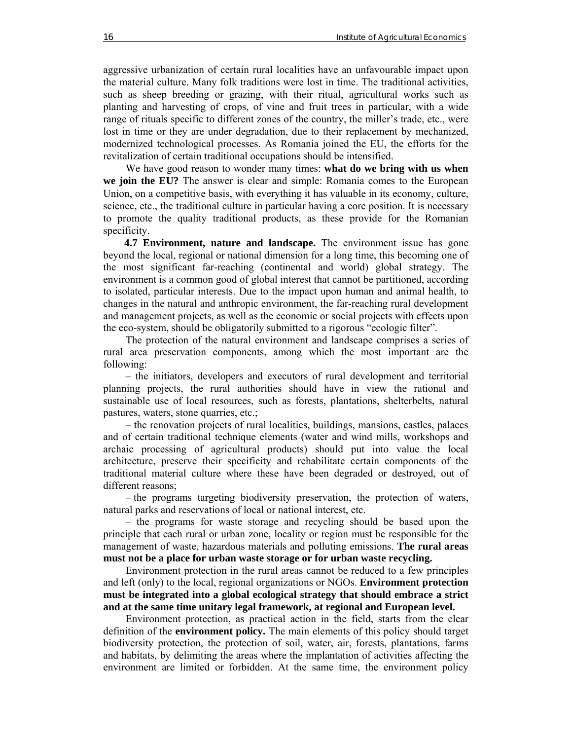aggressive urbanization of certain rural localities have an unfavourable impact upon the material culture. Many folk traditions were lost in time. The traditional activities, such as sheep breeding or grazing, with their ritual, agricultural works such as planting and harvesting of crops, of vine and fruit trees in particular, with a wide range of rituals specific to different zones of the country, the miller's trade, etc., were lost in time or they are under degradation, due to their replacement by mechanized, modernized technological processes. As Romania joined the EU, the efforts for the revitalization of certain traditional occupations should be intensified.

We have good reason to wonder many times: **what do we bring with us when we join the EU?** The answer is clear and simple: Romania comes to the European Union, on a competitive basis, with everything it has valuable in its economy, culture, science, etc., the traditional culture in particular having a core position. It is necessary to promote the quality traditional products, as these provide for the Romanian specificity.

 **4.7 Environment, nature and landscape.** The environment issue has gone beyond the local, regional or national dimension for a long time, this becoming one of the most significant far-reaching (continental and world) global strategy. The environment is a common good of global interest that cannot be partitioned, according to isolated, particular interests. Due to the impact upon human and animal health, to changes in the natural and anthropic environment, the far-reaching rural development and management projects, as well as the economic or social projects with effects upon the eco-system, should be obligatorily submitted to a rigorous "ecologic filter".

The protection of the natural environment and landscape comprises a series of rural area preservation components, among which the most important are the following:

– the initiators, developers and executors of rural development and territorial planning projects, the rural authorities should have in view the rational and sustainable use of local resources, such as forests, plantations, shelterbelts, natural pastures, waters, stone quarries, etc.;

– the renovation projects of rural localities, buildings, mansions, castles, palaces and of certain traditional technique elements (water and wind mills, workshops and archaic processing of agricultural products) should put into value the local architecture, preserve their specificity and rehabilitate certain components of the traditional material culture where these have been degraded or destroyed, out of different reasons;

– the programs targeting biodiversity preservation, the protection of waters, natural parks and reservations of local or national interest, etc.

– the programs for waste storage and recycling should be based upon the principle that each rural or urban zone, locality or region must be responsible for the management of waste, hazardous materials and polluting emissions. **The rural areas must not be a place for urban waste storage or for urban waste recycling.** 

Environment protection in the rural areas cannot be reduced to a few principles and left (only) to the local, regional organizations or NGOs. **Environment protection must be integrated into a global ecological strategy that should embrace a strict and at the same time unitary legal framework, at regional and European level.**

Environment protection, as practical action in the field, starts from the clear definition of the **environment policy.** The main elements of this policy should target biodiversity protection, the protection of soil, water, air, forests, plantations, farms and habitats, by delimiting the areas where the implantation of activities affecting the environment are limited or forbidden. At the same time, the environment policy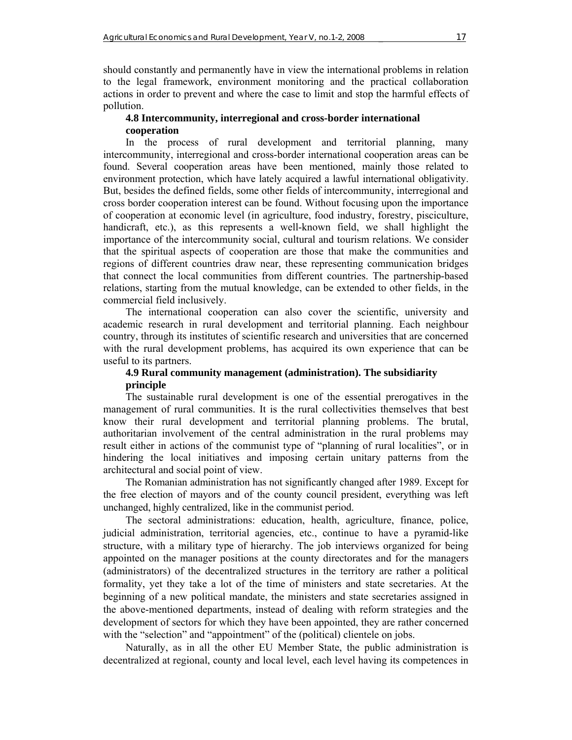should constantly and permanently have in view the international problems in relation to the legal framework, environment monitoring and the practical collaboration actions in order to prevent and where the case to limit and stop the harmful effects of pollution.

### **4.8 Intercommunity, interregional and cross-border international cooperation**

In the process of rural development and territorial planning, many intercommunity, interregional and cross-border international cooperation areas can be found. Several cooperation areas have been mentioned, mainly those related to environment protection, which have lately acquired a lawful international obligativity. But, besides the defined fields, some other fields of intercommunity, interregional and cross border cooperation interest can be found. Without focusing upon the importance of cooperation at economic level (in agriculture, food industry, forestry, pisciculture, handicraft, etc.), as this represents a well-known field, we shall highlight the importance of the intercommunity social, cultural and tourism relations. We consider that the spiritual aspects of cooperation are those that make the communities and regions of different countries draw near, these representing communication bridges that connect the local communities from different countries. The partnership-based relations, starting from the mutual knowledge, can be extended to other fields, in the commercial field inclusively.

The international cooperation can also cover the scientific, university and academic research in rural development and territorial planning. Each neighbour country, through its institutes of scientific research and universities that are concerned with the rural development problems, has acquired its own experience that can be useful to its partners.

## **4.9 Rural community management (administration). The subsidiarity principle**

The sustainable rural development is one of the essential prerogatives in the management of rural communities. It is the rural collectivities themselves that best know their rural development and territorial planning problems. The brutal, authoritarian involvement of the central administration in the rural problems may result either in actions of the communist type of "planning of rural localities", or in hindering the local initiatives and imposing certain unitary patterns from the architectural and social point of view.

The Romanian administration has not significantly changed after 1989. Except for the free election of mayors and of the county council president, everything was left unchanged, highly centralized, like in the communist period.

The sectoral administrations: education, health, agriculture, finance, police, judicial administration, territorial agencies, etc., continue to have a pyramid-like structure, with a military type of hierarchy. The job interviews organized for being appointed on the manager positions at the county directorates and for the managers (administrators) of the decentralized structures in the territory are rather a political formality, yet they take a lot of the time of ministers and state secretaries. At the beginning of a new political mandate, the ministers and state secretaries assigned in the above-mentioned departments, instead of dealing with reform strategies and the development of sectors for which they have been appointed, they are rather concerned with the "selection" and "appointment" of the (political) clientele on jobs.

Naturally, as in all the other EU Member State, the public administration is decentralized at regional, county and local level, each level having its competences in